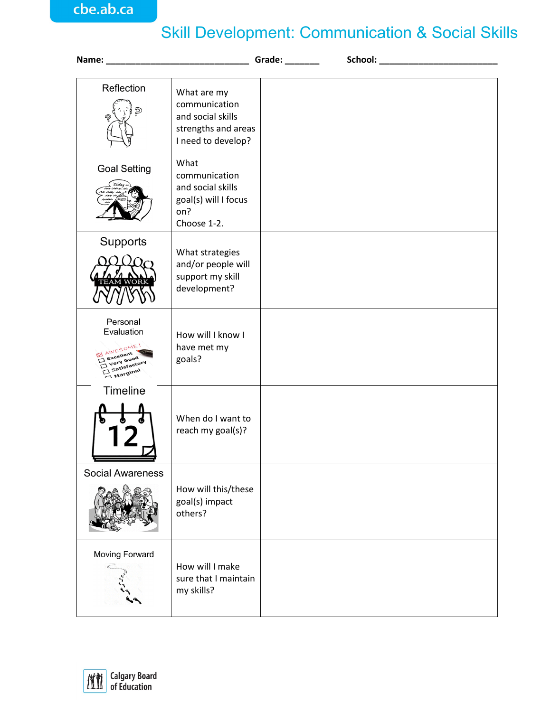## Skill Development: Communication & Social Skills

| Name: Grade:                                                                           |                                                                                                |  |
|----------------------------------------------------------------------------------------|------------------------------------------------------------------------------------------------|--|
| Reflection<br>の                                                                        | What are my<br>communication<br>and social skills<br>strengths and areas<br>I need to develop? |  |
| <b>Goal Setting</b>                                                                    | What<br>communication<br>and social skills<br>goal(s) will I focus<br>on?<br>Choose 1-2.       |  |
| Supports                                                                               | What strategies<br>and/or people will<br>support my skill<br>development?                      |  |
| Personal<br>Evaluation<br><b>IN AWESOME!</b><br>Excellent<br>Very Good<br>Satisfactory | How will I know I<br>have met my<br>goals?                                                     |  |
| Timeline                                                                               | When do I want to<br>reach my goal(s)?                                                         |  |
| <b>Social Awareness</b>                                                                | How will this/these<br>goal(s) impact<br>others?                                               |  |
| Moving Forward                                                                         | How will I make<br>sure that I maintain<br>my skills?                                          |  |

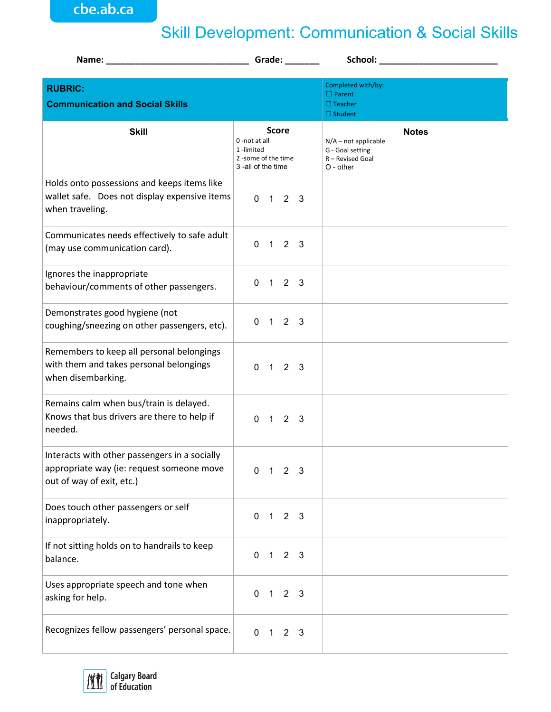cbe.ab.ca

## Skill Development: Communication & Social Skills

| Name: Name and the state of the state of the state of the state of the state of the state of the state of the state of the state of the state of the state of the state of the state of the state of the state of the state of |                                                                       | Grade: The Contract of the Contract of the Contract of the Contract of the Contract of the Contract of the Contract of the Contract of the Contract of the Contract of the Contract of the Contract of the Contract of the Con |                             |                         |                                                                               |              |
|--------------------------------------------------------------------------------------------------------------------------------------------------------------------------------------------------------------------------------|-----------------------------------------------------------------------|--------------------------------------------------------------------------------------------------------------------------------------------------------------------------------------------------------------------------------|-----------------------------|-------------------------|-------------------------------------------------------------------------------|--------------|
| <b>RUBRIC:</b><br><b>Communication and Social Skills</b>                                                                                                                                                                       |                                                                       |                                                                                                                                                                                                                                |                             |                         | Completed with/by:<br>$\Box$ Parent<br>$\Box$ Teacher<br>$\Box$ Student       |              |
| <b>Skill</b>                                                                                                                                                                                                                   | 0 -not at all<br>1-limited<br>2-some of the time<br>3-all of the time |                                                                                                                                                                                                                                | <b>Score</b>                |                         | $N/A$ – not applicable<br>G - Goal setting<br>R - Revised Goal<br>$O - other$ | <b>Notes</b> |
| Holds onto possessions and keeps items like<br>wallet safe. Does not display expensive items<br>when traveling.                                                                                                                |                                                                       |                                                                                                                                                                                                                                | $0 \t1 \t2 \t3$             |                         |                                                                               |              |
| Communicates needs effectively to safe adult<br>(may use communication card).                                                                                                                                                  | $\mathbf{0}$                                                          |                                                                                                                                                                                                                                | $1 \quad 2 \quad 3$         |                         |                                                                               |              |
| Ignores the inappropriate<br>behaviour/comments of other passengers.                                                                                                                                                           |                                                                       |                                                                                                                                                                                                                                | $0 \t1 \t2 \t3$             |                         |                                                                               |              |
| Demonstrates good hygiene (not<br>coughing/sneezing on other passengers, etc).                                                                                                                                                 | $\Omega$                                                              |                                                                                                                                                                                                                                | $1 \quad 2 \quad 3$         |                         |                                                                               |              |
| Remembers to keep all personal belongings<br>with them and takes personal belongings<br>when disembarking.                                                                                                                     |                                                                       |                                                                                                                                                                                                                                | $0 \t1 \t2 \t3$             |                         |                                                                               |              |
| Remains calm when bus/train is delayed.<br>Knows that bus drivers are there to help if<br>needed.                                                                                                                              |                                                                       |                                                                                                                                                                                                                                | $0 \t1 \t2 \t3$             |                         |                                                                               |              |
| Interacts with other passengers in a socially<br>appropriate way (ie: request someone move<br>out of way of exit, etc.)                                                                                                        |                                                                       |                                                                                                                                                                                                                                | $0 \quad 1 \quad 2 \quad 3$ |                         |                                                                               |              |
| Does touch other passengers or self<br>inappropriately.                                                                                                                                                                        | $\mathbf 0$                                                           |                                                                                                                                                                                                                                | $1 \quad 2 \quad 3$         |                         |                                                                               |              |
| If not sitting holds on to handrails to keep<br>balance.                                                                                                                                                                       | $\mathbf 0$                                                           | $\mathbf{1}$                                                                                                                                                                                                                   | 2 <sub>3</sub>              |                         |                                                                               |              |
| Uses appropriate speech and tone when<br>asking for help.                                                                                                                                                                      | $\mathbf 0$                                                           | $\overline{1}$                                                                                                                                                                                                                 | $\overline{2}$              | $\overline{\mathbf{3}}$ |                                                                               |              |
| Recognizes fellow passengers' personal space.                                                                                                                                                                                  | $\mathbf 0$                                                           |                                                                                                                                                                                                                                | $1 \quad 2 \quad 3$         |                         |                                                                               |              |